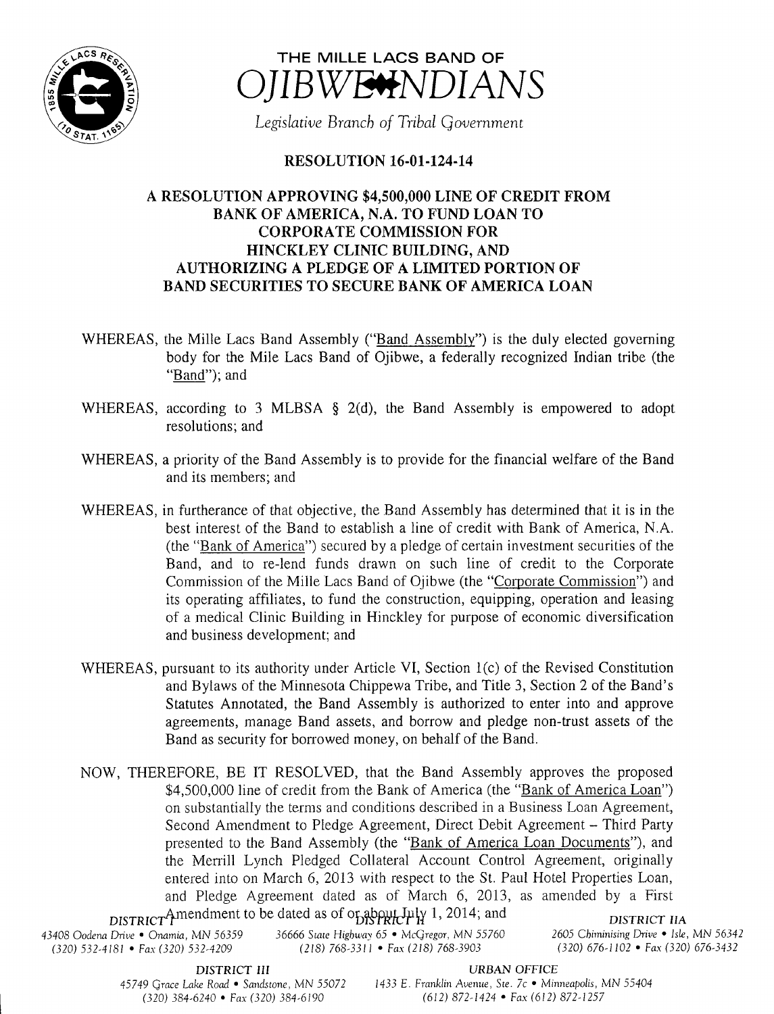



Legislative Branch of Tribal Government

## RESOLUTION 16-01-124-14

## A RESOLUTION APPROVING \$4, 500,000 LINE OF CREDIT FROM BANK OF AMERICA, N.A. TO FUND LOAN TO CORPORATE COMMISSION FOR HINCKLEY CLINIC BUILDING, AND AUTHORIZING A PLEDGE OF A LIMITED PORTION OF BAND SECURITIES TO SECURE BANK OF AMERICA LOAN

- WHEREAS, the Mille Lacs Band Assembly ("Band Assembly") is the duly elected governing body for the Mile Lacs Band of Ojibwe, a federally recognized Indian tribe (the Band"); and
- WHEREAS, according to 3 MLBSA  $\S$  2(d), the Band Assembly is empowered to adopt resolutions; and
- WHEREAS, a priority of the Band Assembly is to provide for the financial welfare of the Band and its members; and
- WHEREAS, in furtherance of that objective, the Band Assembly has determined that it is in the best interest of the Band to establish <sup>a</sup> line of credit with Bank of America, N.A. the " Bank of America") secured by <sup>a</sup> pledge of certain investment securities of the Band, and to re-lend funds drawn on such line of credit to the Corporate Commission of the Mille Lacs Band of Ojibwe (the "Corporate Commission") and its operating affiliates, to fund the construction, equipping, operation and leasing of <sup>a</sup> medical Clinic Building in Hinckley for purpose of economic diversification and business development; and
- WHEREAS, pursuant to its authority under Article VI, Section 1(c) of the Revised Constitution and Bylaws of the Minnesota Chippewa Tribe, and Title 3, Section 2 of the Band' <sup>s</sup> Statutes Annotated, the Band Assembly is authorized to enter into and approve agreements, manage Band assets, and borrow and pledge non- trust assets of the Band as security for borrowed money, on behalf of the Band.
- NOW, THEREFORE, BE IT RESOLVED, that the Band Assembly approves the proposed \$4,500,000 line of credit from the Bank of America (the "Bank of America Loan") on substantially the terms and conditions described in a Business Loan Agreement, Second Amendment to Pledge Agreement, Direct Debit Agreement — Third Party presented to the Band Assembly (the "Bank of America Loan Documents"), and the Merrill Lynch Pledged Collateral Account Control Agreement, originally entered into on March 6, 2013 with respect to the St. Paul Hotel Properties Loan, and Pledge Agreement dated as of March 6, 2013, as amended by <sup>a</sup> First DISTRICT Amendment to be dated as of or about  $I_{\rm H}$  and  $I_{\rm H}$  1, 2014; and

43408 Oodena Drive • Onamia, MN 56359 36666 State Highway 65 • McGregor, MN 55760 2605 Chiminising Drive • Isle, MN 56342<br>(320) 532-4181 • Fax (320) 532-4209 (218) 768-3311 • Fax (218) 768-3903 (320) 676-1102 • Fax (320) (320) 532-4181 • Fax( 320) 532-4209

DISTRICT IIA

DISTRICT III URBAN OFFICE

45749 Grace Lake Road • Sandstone, MN 55072 1433 E. Franklin Avenue, Ste. 7c • Minneapolis, MN 55404 320) 384- 6240 • Fax( 320) 384- 6190 612) 872- 1424 • Fax( 612) 872- 1257